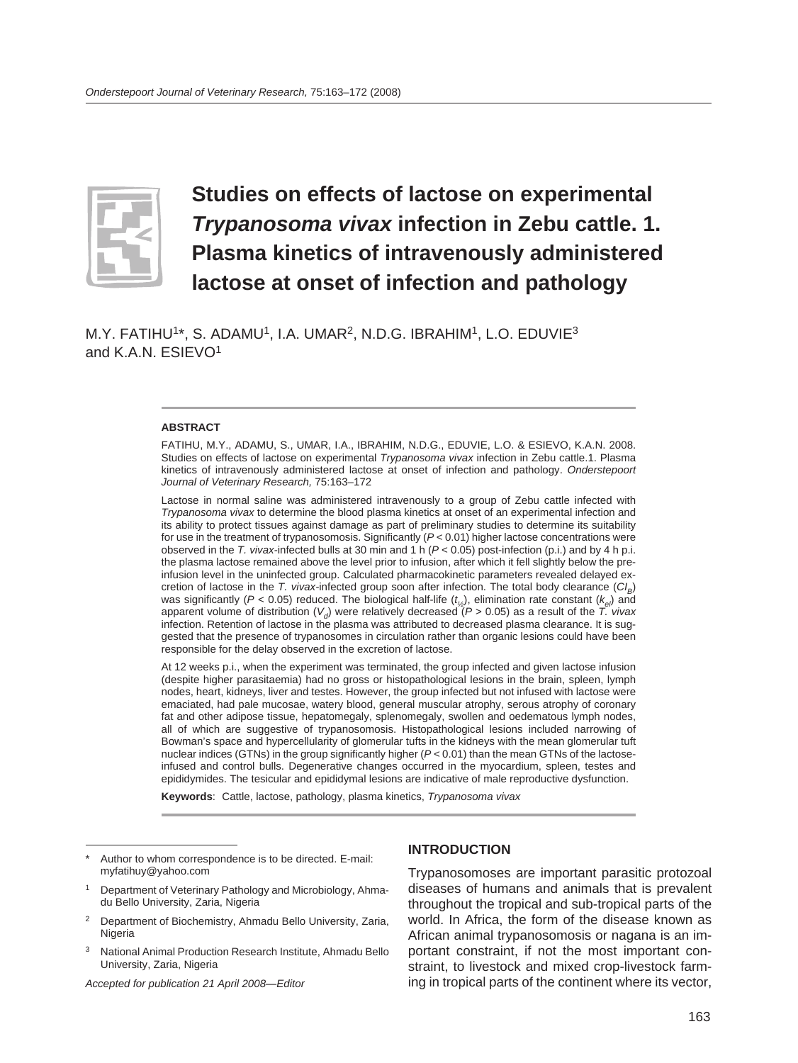

# **Studies on effects of lactose on experimental**  *Trypanosoma vivax* **infection in Zebu cattle. 1. Plasma kinetics of intravenously administered lactose at onset of infection and pathology**

M.Y. FATIHU<sup>1\*</sup>, S. ADAMU<sup>1</sup>, I.A. UMAR<sup>2</sup>, N.D.G. IBRAHIM<sup>1</sup>, L.O. EDUVIE<sup>3</sup> and K.A.N. ESIEVO<sup>1</sup>

#### **ABSTRACT**

FATIHU, M.Y., ADAMU, S., UMAR, I.A., IBRAHIM, N.D.G., EDUVIE, L.O. & ESIEVO, K.A.N. 2008. Studies on effects of lactose on experimental *Trypanosoma vivax* infection in Zebu cattle.1. Plasma kinetics of intravenously administered lactose at onset of infection and pathology. *Onderstepoort Journal of Veterinary Research,* 75:163–172

Lactose in normal saline was administered intravenously to a group of Zebu cattle infected with *Trypanosoma vivax* to determine the blood plasma kinetics at onset of an experimental infection and its ability to protect tissues against damage as part of preliminary studies to determine its suitability for use in the treatment of trypanosomosis. Significantly (*P* < 0.01) higher lactose concentrations were observed in the *T. vivax-*infected bulls at 30 min and 1 h (*P* < 0.05) post-infection (p.i.) and by 4 h p.i. the plasma lactose remained above the level prior to infusion, after which it fell slightly below the preinfusion level in the uninfected group. Calculated pharmacokinetic parameters revealed delayed excretion of lactose in the *T. vivax*-infected group soon after infection. The total body clearance  $(CI_R)$ was significantly (*P* < 0.05) reduced. The biological half-life (*t <sup>½</sup>*), elimination rate constant (*kel*) and apparent volume of distribution  $(V<sub>d</sub>)$  were relatively decreased  $\hat{(P > 0.05)}$  as a result of the *T. vivax* infection. Retention of lactose in the plasma was attributed to decreased plasma clearance. It is suggested that the presence of trypanosomes in circulation rather than organic lesions could have been responsible for the delay observed in the excretion of lactose.

At 12 weeks p.i., when the experiment was terminated, the group infected and given lactose infusion (despite higher parasitaemia) had no gross or histopathological lesions in the brain, spleen, lymph nodes, heart, kidneys, liver and testes. However, the group infected but not infused with lactose were emaciated, had pale mucosae, watery blood, general muscular atrophy, serous atrophy of coronary fat and other adipose tissue, hepatomegaly, splenomegaly, swollen and oedematous lymph nodes, all of which are suggestive of trypanosomosis. Histopathological lesions included narrowing of Bowman's space and hypercellularity of glomerular tufts in the kidneys with the mean glomerular tuft nuclear indices (GTNs) in the group significantly higher (*P <* 0.01) than the mean GTNs of the lactoseinfused and control bulls. Degenerative changes occurred in the myocardium, spleen, testes and epididymides. The tesicular and epididymal lesions are indicative of male reproductive dysfunction.

**Keywords**: Cattle, lactose, pathology, plasma kinetics, *Trypanosoma vivax*

*Accepted for publication 21 April 2008—Editor*

#### **INTRODUCTION**

Trypanosomoses are important parasitic protozoal diseases of humans and animals that is prevalent throughout the tropical and sub-tropical parts of the world. In Africa, the form of the disease known as African animal trypanosomosis or nagana is an important constraint, if not the most important constraint, to livestock and mixed crop-livestock farming in tropical parts of the continent where its vector,

Author to whom correspondence is to be directed. E-mail: myfatihuy@yahoo.com

<sup>1</sup> Department of Veterinary Pathology and Microbiology, Ahmadu Bello University, Zaria, Nigeria

<sup>2</sup> Department of Biochemistry, Ahmadu Bello University, Zaria, Nigeria

<sup>3</sup> National Animal Production Research Institute, Ahmadu Bello University, Zaria, Nigeria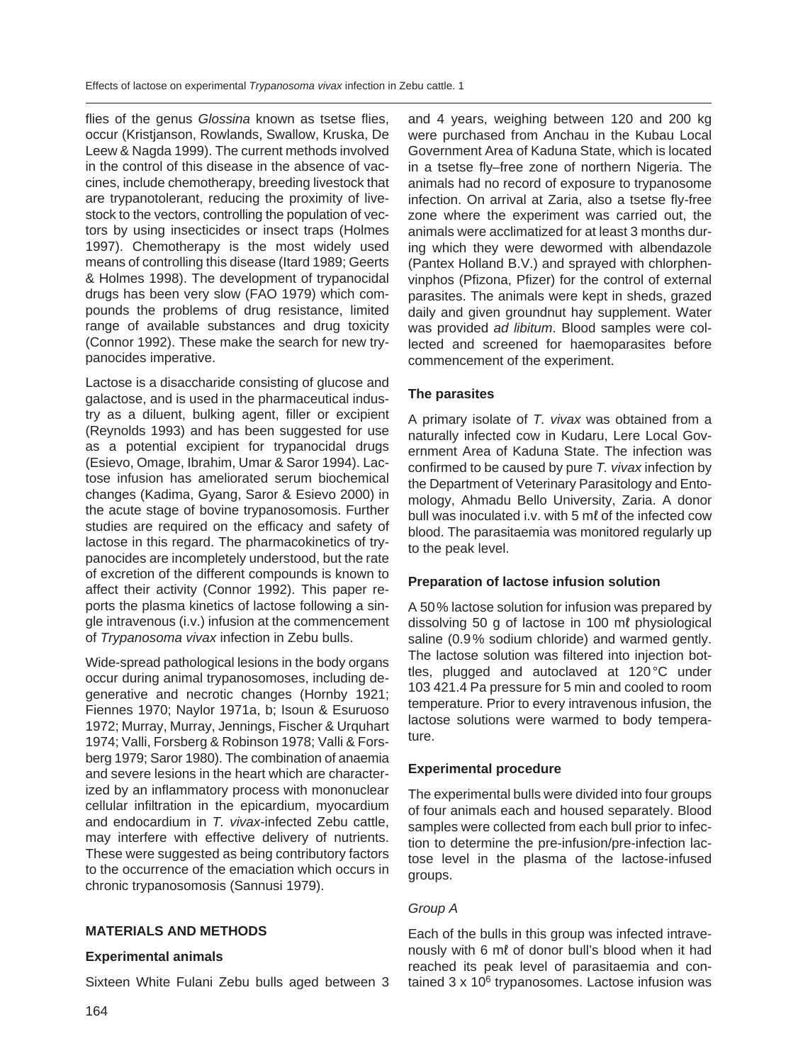flies of the genus *Glossina* known as tsetse flies, occur (Kristjanson, Rowlands, Swallow, Kruska, De Leew & Nagda 1999). The current methods involved in the control of this disease in the absence of vaccines, include chemotherapy, breeding livestock that are trypanotolerant, reducing the proximity of livestock to the vectors, controlling the population of vectors by using insecticides or insect traps (Holmes 1997). Chemotherapy is the most widely used means of controlling this disease (Itard 1989; Geerts & Holmes 1998). The development of trypanocidal drugs has been very slow (FAO 1979) which compounds the problems of drug resistance, limited range of available substances and drug toxicity (Connor 1992). These make the search for new trypanocides imperative.

Lactose is a disaccharide consisting of glucose and galactose, and is used in the pharmaceutical industry as a diluent, bulking agent, filler or excipient (Reynolds 1993) and has been suggested for use as a potential excipient for trypanocidal drugs (Esievo, Omage, Ibrahim, Umar & Saror 1994). Lactose infusion has ameliorated serum biochemical changes (Kadima, Gyang, Saror & Esievo 2000) in the acute stage of bovine trypanosomosis. Further studies are required on the efficacy and safety of lactose in this regard. The pharmacokinetics of trypanocides are incompletely understood, but the rate of excretion of the different compounds is known to affect their activity (Connor 1992). This paper reports the plasma kinetics of lactose following a single intravenous (i.v.) infusion at the commencement of *Trypanosoma vivax* infection in Zebu bulls.

Wide-spread pathological lesions in the body organs occur during animal trypanosomoses, including degenerative and necrotic changes (Hornby 1921; Fiennes 1970; Naylor 1971a, b; Isoun & Esuruoso 1972; Murray, Murray, Jennings, Fischer & Urquhart 1974; Valli, Forsberg & Robinson 1978; Valli & Forsberg 1979; Saror 1980). The combination of anaemia and severe lesions in the heart which are characterized by an inflammatory process with mononuclear cellular infiltration in the epicardium, myocardium and endocardium in *T. vivax*-infected Zebu cattle, may interfere with effective delivery of nutrients. These were suggested as being contributory factors to the occurrence of the emaciation which occurs in chronic trypanosomosis (Sannusi 1979).

## **MATERIALS AND METHODS**

## **Experimental animals**

Sixteen White Fulani Zebu bulls aged between 3

and 4 years, weighing between 120 and 200 kg were purchased from Anchau in the Kubau Local Government Area of Kaduna State, which is located in a tsetse fly–free zone of northern Nigeria. The animals had no record of exposure to trypanosome infection. On arrival at Zaria, also a tsetse fly-free zone where the experiment was carried out, the animals were acclimatized for at least 3 months during which they were dewormed with albendazole (Pantex Holland B.V.) and sprayed with chlorphenvinphos (Pfizona, Pfizer) for the control of external parasites. The animals were kept in sheds, grazed daily and given groundnut hay supplement. Water was provided *ad libitum*. Blood samples were collected and screened for haemoparasites before commencement of the experiment.

## **The parasites**

A primary isolate of *T. vivax* was obtained from a naturally infected cow in Kudaru, Lere Local Government Area of Kaduna State. The infection was confirmed to be caused by pure *T. vivax* infection by the Department of Veterinary Parasitology and Entomology, Ahmadu Bello University, Zaria. A donor bull was inoculated i.v. with 5 mƐ of the infected cow blood. The parasitaemia was monitored regularly up to the peak level.

## **Preparation of lactose infusion solution**

A 50 % lactose solution for infusion was prepared by dissolving 50 g of lactose in 100 mƐ physiological saline (0.9% sodium chloride) and warmed gently. The lactose solution was filtered into injection bottles, plugged and autoclaved at 120 °C under 103 421.4 Pa pressure for 5 min and cooled to room temperature. Prior to every intravenous infusion, the lactose solutions were warmed to body temperature.

## **Experimental procedure**

The experimental bulls were divided into four groups of four animals each and housed separately. Blood samples were collected from each bull prior to infection to determine the pre-infusion/pre-infection lactose level in the plasma of the lactose-infused groups.

### *Group A*

Each of the bulls in this group was infected intravenously with 6 ml of donor bull's blood when it had reached its peak level of parasitaemia and contained  $3 \times 10^6$  trypanosomes. Lactose infusion was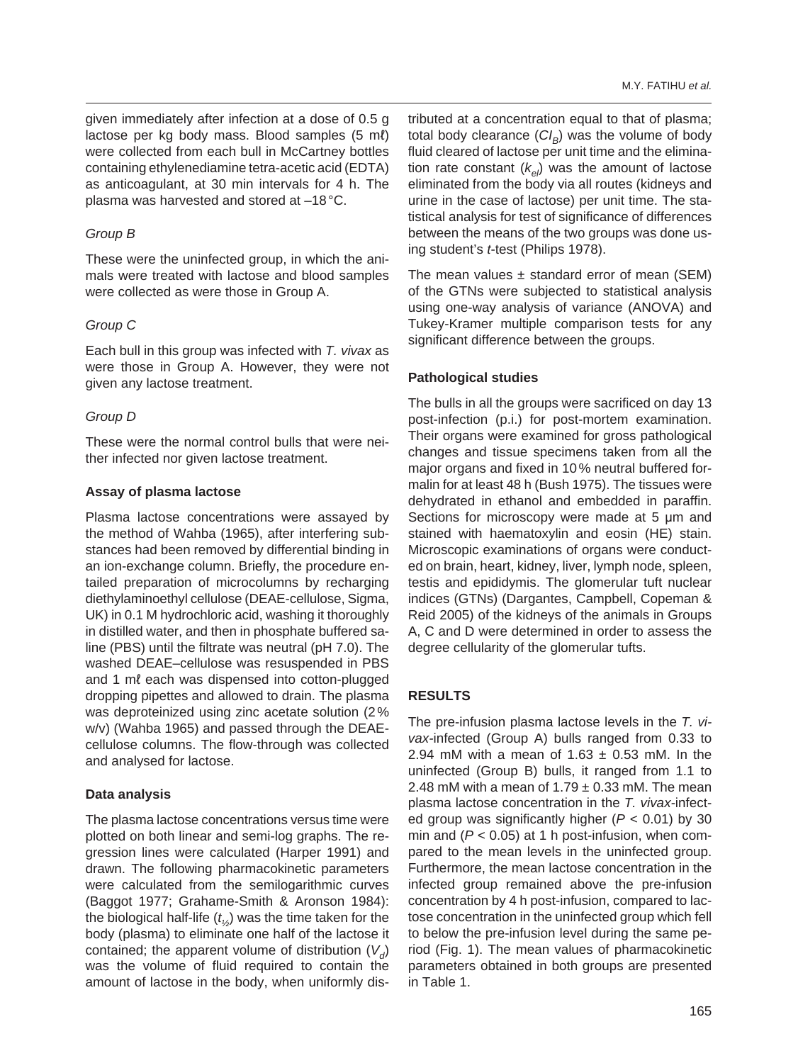given immediately after infection at a dose of 0.5 g lactose per kg body mass. Blood samples (5 mƐ) were collected from each bull in McCartney bottles containing ethylenediamine tetra-acetic acid (EDTA) as anticoagulant, at 30 min intervals for 4 h. The plasma was harvested and stored at –18 °C.

#### *Group B*

These were the uninfected group, in which the animals were treated with lactose and blood samples were collected as were those in Group A.

#### *Group C*

Each bull in this group was infected with *T. vivax* as were those in Group A. However, they were not given any lactose treatment.

#### *Group D*

These were the normal control bulls that were neither infected nor given lactose treatment.

#### **Assay of plasma lactose**

Plasma lactose concentrations were assayed by the method of Wahba (1965), after interfering substances had been removed by differential binding in an ion-exchange column. Briefly, the procedure entailed preparation of microcolumns by recharging diethylaminoethyl cellulose (DEAE-cellulose, Sigma, UK) in 0.1 M hydrochloric acid, washing it thoroughly in distilled water, and then in phosphate buffered saline (PBS) until the filtrate was neutral (pH 7.0). The washed DEAE–cellulose was resuspended in PBS and 1 ml each was dispensed into cotton-plugged dropping pipettes and allowed to drain. The plasma was deproteinized using zinc acetate solution (2 % w/v) (Wahba 1965) and passed through the DEAEcellulose columns. The flow-through was collected and analysed for lactose.

#### **Data analysis**

The plasma lactose concentrations versus time were plotted on both linear and semi-log graphs. The regression lines were calculated (Harper 1991) and drawn. The following pharmacokinetic parameters were calculated from the semilogarithmic curves (Baggot 1977; Grahame-Smith & Aronson 1984): the biological half-life (*t <sup>½</sup>*) was the time taken for the body (plasma) to eliminate one half of the lactose it contained; the apparent volume of distribution  $(V_{d})$ was the volume of fluid required to contain the amount of lactose in the body, when uniformly dis-

tributed at a concentration equal to that of plasma; total body clearance  $(Cl_B)$  was the volume of body fluid cleared of lactose per unit time and the elimination rate constant  $(k_{el})$  was the amount of lactose eliminated from the body via all routes (kidneys and urine in the case of lactose) per unit time. The statistical analysis for test of significance of differences between the means of the two groups was done using student's *t*-test (Philips 1978).

The mean values  $\pm$  standard error of mean (SEM) of the GTNs were subjected to statistical analysis using one-way analysis of variance (ANOVA) and Tukey-Kramer multiple comparison tests for any significant difference between the groups.

#### **Pathological studies**

The bulls in all the groups were sacrificed on day 13 post-infection (p.i.) for post-mortem examination. Their organs were examined for gross pathological changes and tissue specimens taken from all the major organs and fixed in 10 % neutral buffered formalin for at least 48 h (Bush 1975). The tissues were dehydrated in ethanol and embedded in paraffin. Sections for microscopy were made at 5 µm and stained with haematoxylin and eosin (HE) stain. Microscopic examinations of organs were conducted on brain, heart, kidney, liver, lymph node, spleen, testis and epididymis. The glomerular tuft nuclear indices (GTNs) (Dargantes, Campbell, Copeman & Reid 2005) of the kidneys of the animals in Groups A, C and D were determined in order to assess the degree cellularity of the glomerular tufts.

### **RESULTS**

The pre-infusion plasma lactose levels in the *T. vivax-*infected (Group A) bulls ranged from 0.33 to 2.94 mM with a mean of  $1.63 \pm 0.53$  mM. In the uninfected (Group B) bulls, it ranged from 1.1 to 2.48 mM with a mean of  $1.79 \pm 0.33$  mM. The mean plasma lactose concentration in the *T. vivax-*infected group was significantly higher (*P* < 0.01) by 30 min and  $(P < 0.05)$  at 1 h post-infusion, when compared to the mean levels in the uninfected group. Furthermore, the mean lactose concentration in the infected group remained above the pre-infusion concentration by 4 h post-infusion, compared to lactose concentration in the uninfected group which fell to below the pre-infusion level during the same period (Fig. 1). The mean values of pharmacokinetic parameters obtained in both groups are presented in Table 1.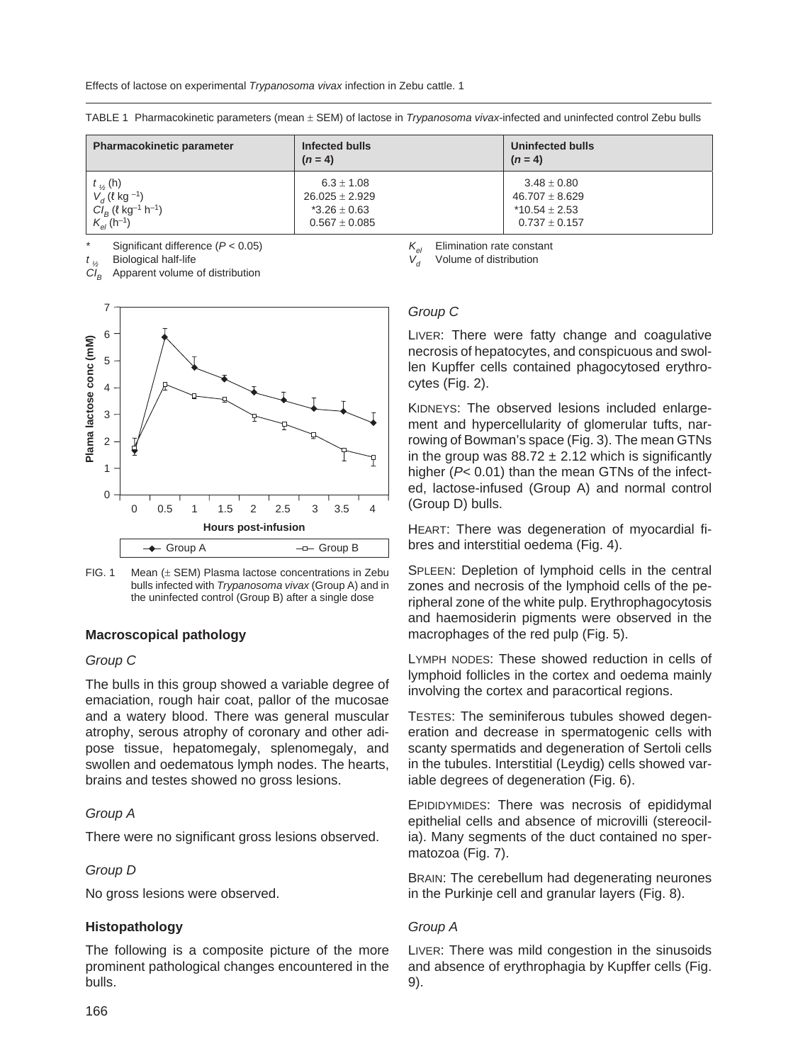| <b>Pharmacokinetic parameter</b>                                                                                                                     | Infected bulls<br>$(n = 4)$                                                   | <b>Uninfected bulls</b><br>$(n = 4)$                                               |
|------------------------------------------------------------------------------------------------------------------------------------------------------|-------------------------------------------------------------------------------|------------------------------------------------------------------------------------|
| $t_{\frac{1}{2}}$ (h)<br>$V_d$ (l kg <sup>-1</sup> )<br>$CI_B^{\dagger}$ ( $l$ kg <sup>-1</sup> h <sup>-1</sup> )<br>$K_{\rm el}$ (h <sup>-1</sup> ) | $6.3 \pm 1.08$<br>$26.025 \pm 2.929$<br>$*3.26 \pm 0.63$<br>$0.567 \pm 0.085$ | $3.48 \pm 0.80$<br>$46.707 \pm 8.629$<br>$*$ 10.54 $\pm$ 2.53<br>$0.737 \pm 0.157$ |

TABLE 1 Pharmacokinetic parameters (mean  $\pm$  SEM) of lactose in *Trypanosoma vivax*-infected and uninfected control Zebu bulls

Significant difference ( $P$  < 0.05)

*t <sup>½</sup>* Biological half-life Apparent volume of distribution



FIG. 1 Mean  $(\pm$  SEM) Plasma lactose concentrations in Zebu bulls infected with *Trypanosoma vivax* (Group A) and in the uninfected control (Group B) after a single dose

### **Macroscopical pathology**

### *Group C*

The bulls in this group showed a variable degree of emaciation, rough hair coat, pallor of the mucosae and a watery blood. There was general muscular atrophy, serous atrophy of coronary and other adipose tissue, hepatomegaly, splenomegaly, and swollen and oedematous lymph nodes. The hearts, brains and testes showed no gross lesions.

### *Group A*

There were no significant gross lesions observed.

### *Group D*

No gross lesions were observed.

### **Histopathology**

The following is a composite picture of the more prominent pathological changes encountered in the bulls.

*Kel* Elimination rate constant

*Vd* Volume of distribution

## *Group C*

LIVER: There were fatty change and coagulative necrosis of hepatocytes, and conspicuous and swollen Kupffer cells contained phagocytosed erythrocytes (Fig. 2).

KIDNEYS: The observed lesions included enlargement and hypercellularity of glomerular tufts, narrowing of Bowman's space (Fig. 3). The mean GTNs in the group was  $88.72 \pm 2.12$  which is significantly higher (*P<* 0.01) than the mean GTNs of the infected, lactose-infused (Group A) and normal control (Group D) bulls.

HEART: There was degeneration of myocardial fibres and interstitial oedema (Fig. 4).

SPLEEN: Depletion of lymphoid cells in the central zones and necrosis of the lymphoid cells of the peripheral zone of the white pulp. Erythrophagocytosis and haemosiderin pigments were observed in the macrophages of the red pulp (Fig. 5).

LYMPH NODES: These showed reduction in cells of lymphoid follicles in the cortex and oedema mainly involving the cortex and paracortical regions.

TESTES: The seminiferous tubules showed degeneration and decrease in spermatogenic cells with scanty spermatids and degeneration of Sertoli cells in the tubules. Interstitial (Leydig) cells showed variable degrees of degeneration (Fig. 6).

EPIDIDYMIDES: There was necrosis of epididymal epithelial cells and absence of microvilli (stereocilia). Many segments of the duct contained no spermatozoa (Fig. 7).

BRAIN: The cerebellum had degenerating neurones in the Purkinje cell and granular layers (Fig. 8).

## *Group A*

LIVER: There was mild congestion in the sinusoids and absence of erythrophagia by Kupffer cells (Fig. 9).